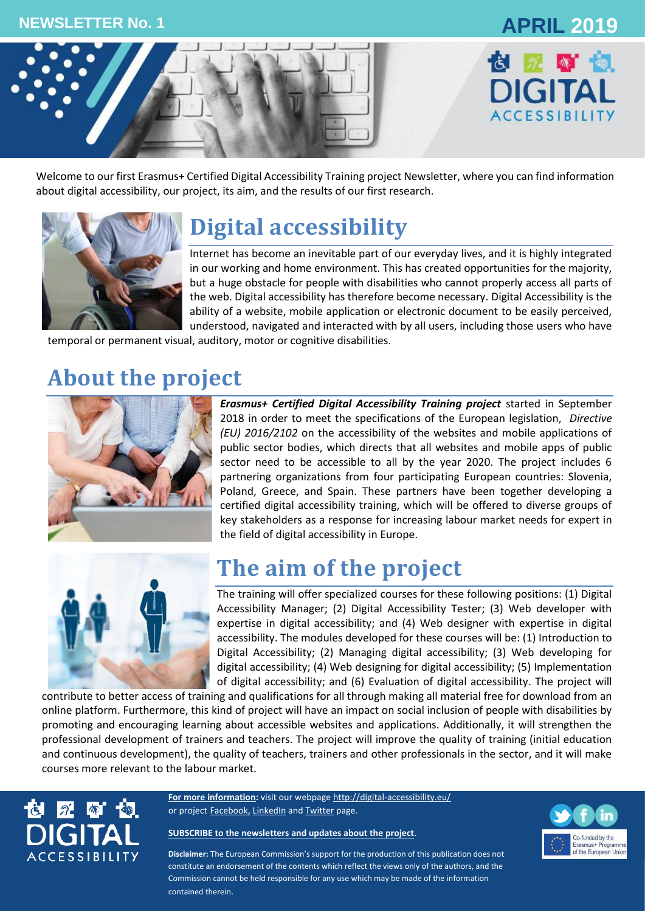



Welcome to our first Erasmus+ Certified Digital Accessibility Training project Newsletter, where you can find information about digital accessibility, our project, its aim, and the results of our first research.



# **Digital accessibility**

Internet has become an inevitable part of our everyday lives, and it is highly integrated in our working and home environment. This has created opportunities for the majority, but a huge obstacle for people with disabilities who cannot properly access all parts of the web. Digital accessibility has therefore become necessary. Digital Accessibility is the ability of a website, mobile application or electronic document to be easily perceived, understood, navigated and interacted with by all users, including those users who have

temporal or permanent visual, auditory, motor or cognitive disabilities.

## **About the project**



*Erasmus+ Certified Digital Accessibility Training project* started in September 2018 in order to meet the specifications of the European legislation, *[Directive](http://eur-lex.europa.eu/legal-content/EN/TXT/?uri=uriserv:OJ.L_.2016.327.01.0001.01.ENG&toc=OJ:L:2016:327:TOC) (EU) 2016/2102* [on the accessibility of the websites and mobile applications of](http://eur-lex.europa.eu/legal-content/EN/TXT/?uri=uriserv:OJ.L_.2016.327.01.0001.01.ENG&toc=OJ:L:2016:327:TOC)  [public sector bodies,](http://eur-lex.europa.eu/legal-content/EN/TXT/?uri=uriserv:OJ.L_.2016.327.01.0001.01.ENG&toc=OJ:L:2016:327:TOC) which directs that all websites and mobile apps of public sector need to be accessible to all by the year 2020. The project includes 6 partnering organizations from four participating European countries: Slovenia, Poland, Greece, and Spain. These partners have been together developing a certified digital accessibility training, which will be offered to diverse groups of key stakeholders as a response for increasing labour market needs for expert in the field of digital accessibility in Europe.



### **The aim of the project**

The training will offer specialized courses for these following positions: (1) Digital Accessibility Manager; (2) Digital Accessibility Tester; (3) Web developer with expertise in digital accessibility; and (4) Web designer with expertise in digital accessibility. The modules developed for these courses will be: (1) Introduction to Digital Accessibility; (2) Managing digital accessibility; (3) Web developing for digital accessibility; (4) Web designing for digital accessibility; (5) Implementation of digital accessibility; and (6) Evaluation of digital accessibility. The project will

contribute to better access of training and qualifications for all through making all material free for download from an online platform. Furthermore, this kind of project will have an impact on social inclusion of people with disabilities by promoting and encouraging learning about accessible websites and applications. Additionally, it will strengthen the professional development of trainers and teachers. The project will improve the quality of training (initial education and continuous development), the quality of teachers, trainers and other professionals in the sector, and it will make courses more relevant to the labour market.



**For more information:** visit our webpag[e http://digital-accessibility.eu/](http://digital-accessibility.eu/) or project **[Facebook,](https://www.facebook.com/digitalaccessibilityproject/) [LinkedIn](https://www.linkedin.com/company/e-digital-accessibility-project-certified-digital-accessibility-training/) and [Twitter](https://twitter.com/Martika94700976) page.** 

#### **[SUBSCRIBE to the newsletters and updates about the project](http://eepurl.com/gGyCET)**.



**Disclaimer:** The European Commission's support for the production of this publication does not constitute an endorsement of the contents which reflect the views only of the authors, and the Commission cannot be held responsible for any use which may be made of the information contained therein.